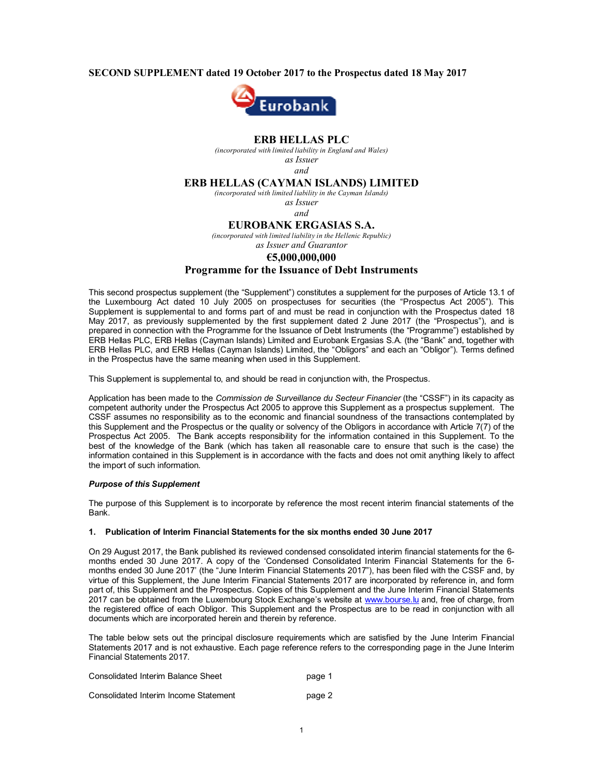### **SECOND SUPPLEMENT dated 19 October 2017 to the Prospectus dated 18 May 2017**



### **ERB HELLAS PLC**

*(incorporated with limited liability in England and Wales) as Issuer*

*and*

## **ERB HELLAS (CAYMAN ISLANDS) LIMITED**

*(incorporated with limited liability in the Cayman Islands)*

*as Issuer and*

### **EUROBANK ERGASIAS S.A.**

*(incorporated with limited liability in the Hellenic Republic)*

# *as Issuer and Guarantor*

#### **€5,000,000,000**

### **Programme for the Issuance of Debt Instruments**

This second prospectus supplement (the "Supplement") constitutes a supplement for the purposes of Article 13.1 of the Luxembourg Act dated 10 July 2005 on prospectuses for securities (the "Prospectus Act 2005"). This Supplement is supplemental to and forms part of and must be read in conjunction with the Prospectus dated 18 May 2017, as previously supplemented by the first supplement dated 2 June 2017 (the "Prospectus"), and is prepared in connection with the Programme for the Issuance of Debt Instruments (the "Programme") established by ERB Hellas PLC, ERB Hellas (Cayman Islands) Limited and Eurobank Ergasias S.A. (the "Bank" and, together with ERB Hellas PLC, and ERB Hellas (Cayman Islands) Limited, the "Obligors" and each an "Obligor"). Terms defined in the Prospectus have the same meaning when used in this Supplement.

This Supplement is supplemental to, and should be read in conjunction with, the Prospectus.

Application has been made to the *Commission de Surveillance du Secteur Financier* (the "CSSF") in its capacity as competent authority under the Prospectus Act 2005 to approve this Supplement as a prospectus supplement. The CSSF assumes no responsibility as to the economic and financial soundness of the transactions contemplated by this Supplement and the Prospectus or the quality or solvency of the Obligors in accordance with Article 7(7) of the Prospectus Act 2005. The Bank accepts responsibility for the information contained in this Supplement. To the best of the knowledge of the Bank (which has taken all reasonable care to ensure that such is the case) the information contained in this Supplement is in accordance with the facts and does not omit anything likely to affect the import of such information.

#### *Purpose of this Supplement*

The purpose of this Supplement is to incorporate by reference the most recent interim financial statements of the Bank.

### **1. Publication of Interim Financial Statements for the six months ended 30 June 2017**

On 29 August 2017, the Bank published its reviewed condensed consolidated interim financial statements for the 6 months ended 30 June 2017. A copy of the 'Condensed Consolidated Interim Financial Statements for the 6 months ended 30 June 2017' (the "June Interim Financial Statements 2017"), has been filed with the CSSF and, by virtue of this Supplement, the June Interim Financial Statements 2017 are incorporated by reference in, and form part of, this Supplement and the Prospectus. Copies of this Supplement and the June Interim Financial Statements 2017 can be obtained from the Luxembourg Stock Exchange's website at www.bourse.lu and, free of charge, from the registered office of each Obligor. This Supplement and the Prospectus are to be read in conjunction with all documents which are incorporated herein and therein by reference.

The table below sets out the principal disclosure requirements which are satisfied by the June Interim Financial Statements 2017 and is not exhaustive. Each page reference refers to the corresponding page in the June Interim Financial Statements 2017.

| Consolidated Interim Balance Sheet    | page 1 |
|---------------------------------------|--------|
| Consolidated Interim Income Statement | page 2 |